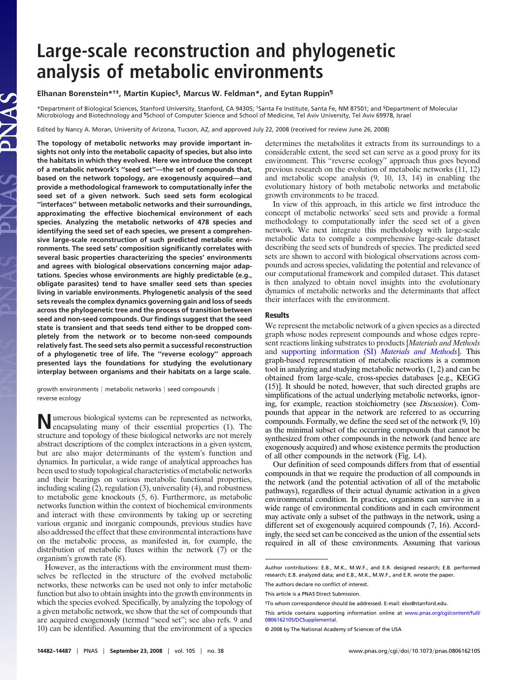# **Large-scale reconstruction and phylogenetic analysis of metabolic environments**

## **Elhanan Borenstein\*†‡, Martin Kupiec§, Marcus W. Feldman\*, and Eytan Ruppin¶**

\*Department of Biological Sciences, Stanford University, Stanford, CA 94305; †Santa Fe Institute, Santa Fe, NM 87501; and §Department of Molecular Microbiology and Biotechnology and ¶School of Computer Science and School of Medicine, Tel Aviv University, Tel Aviv 69978, Israel

Edited by Nancy A. Moran, University of Arizona, Tucson, AZ, and approved July 22, 2008 (received for review June 26, 2008)

**The topology of metabolic networks may provide important insights not only into the metabolic capacity of species, but also into the habitats in which they evolved. Here we introduce the concept of a metabolic network's ''seed set''—the set of compounds that, based on the network topology, are exogenously acquired—and provide a methodological framework to computationally infer the seed set of a given network. Such seed sets form ecological ''interfaces'' between metabolic networks and their surroundings, approximating the effective biochemical environment of each species. Analyzing the metabolic networks of 478 species and identifying the seed set of each species, we present a comprehensive large-scale reconstruction of such predicted metabolic environments. The seed sets' composition significantly correlates with several basic properties characterizing the species' environments and agrees with biological observations concerning major adaptations. Species whose environments are highly predictable (e.g., obligate parasites) tend to have smaller seed sets than species living in variable environments. Phylogenetic analysis of the seed sets reveals the complex dynamics governing gain and loss of seeds across the phylogenetic tree and the process of transition between seed and non-seed compounds. Our findings suggest that the seed state is transient and that seeds tend either to be dropped completely from the network or to become non-seed compounds relatively fast. The seed sets also permit a successful reconstruction of a phylogenetic tree of life. The ''reverse ecology'' approach presented lays the foundations for studying the evolutionary interplay between organisms and their habitats on a large scale.**

growth environments  $|$  metabolic networks  $|$  seed compounds  $|$ reverse ecology

**N**umerous biological systems can be represented as networks, encapsulating many of their essential properties (1). The structure and topology of these biological networks are not merely abstract descriptions of the complex interactions in a given system, but are also major determinants of the system's function and dynamics. In particular, a wide range of analytical approaches has been used to study topological characteristics of metabolic networks and their bearings on various metabolic functional properties, including scaling (2), regulation (3), universality (4), and robustness to metabolic gene knockouts (5, 6). Furthermore, as metabolic networks function within the context of biochemical environments and interact with these environments by taking up or secreting various organic and inorganic compounds, previous studies have also addressed the effect that these environmental interactions have on the metabolic process, as manifested in, for example, the distribution of metabolic fluxes within the network (7) or the organism's growth rate (8).

However, as the interactions with the environment must themselves be reflected in the structure of the evolved metabolic networks, these networks can be used not only to infer metabolic function but also to obtain insights into the growth environments in which the species evolved. Specifically, by analyzing the topology of a given metabolic network, we show that the set of compounds that are acquired exogenously (termed ''seed set''; see also refs. 9 and 10) can be identified. Assuming that the environment of a species

determines the metabolites it extracts from its surroundings to a considerable extent, the seed set can serve as a good proxy for its environment. This ''reverse ecology'' approach thus goes beyond previous research on the evolution of metabolic networks (11, 12) and metabolic scope analysis (9, 10, 13, 14) in enabling the evolutionary history of both metabolic networks and metabolic growth environments to be traced.

In view of this approach, in this article we first introduce the concept of metabolic networks' seed sets and provide a formal methodology to computationally infer the seed set of a given network. We next integrate this methodology with large-scale metabolic data to compile a comprehensive large-scale dataset describing the seed sets of hundreds of species. The predicted seed sets are shown to accord with biological observations across compounds and across species, validating the potential and relevance of our computational framework and compiled dataset. This dataset is then analyzed to obtain novel insights into the evolutionary dynamics of metabolic networks and the determinants that affect their interfaces with the environment.

### **Results**

We represent the metabolic network of a given species as a directed graph whose nodes represent compounds and whose edges represent reactions linking substrates to products [*Materials and Methods* and [supporting information \(SI\)](http://www.pnas.org/cgi/data/0806162105/DCSupplemental/Supplemental_PDF#nameddest=STXT) *Materials and Methods*]. This graph-based representation of metabolic reactions is a common tool in analyzing and studying metabolic networks (1, 2) and can be obtained from large-scale, cross-species databases [e.g., KEGG (15)]. It should be noted, however, that such directed graphs are simplifications of the actual underlying metabolic networks, ignoring, for example, reaction stoichiometry (see *Discussion*). Compounds that appear in the network are referred to as occurring compounds. Formally, we define the seed set of the network (9, 10) as the minimal subset of the occurring compounds that cannot be synthesized from other compounds in the network (and hence are exogenously acquired) and whose existence permits the production of all other compounds in the network (Fig. 1*A*).

Our definition of seed compounds differs from that of essential compounds in that we require the production of all compounds in the network (and the potential activation of all of the metabolic pathways), regardless of their actual dynamic activation in a given environmental condition. In practice, organisms can survive in a wide range of environmental conditions and in each environment may activate only a subset of the pathways in the network, using a different set of exogenously acquired compounds (7, 16). Accordingly, the seed set can be conceived as the union of the essential sets required in all of these environments. Assuming that various

Author contributions: E.B., M.K., M.W.F., and E.R. designed research; E.B. performed research; E.B. analyzed data; and E.B., M.K., M.W.F., and E.R. wrote the paper.

The authors declare no conflict of interest.

This article is a PNAS Direct Submission.

<sup>‡</sup>To whom correspondence should be addressed. E-mail: ebo@stanford.edu.

This article contains supporting information online at [www.pnas.org/cgi/content/full/](http://www.pnas.org/cgi/content/full/0806162105/DCSupplemental) [0806162105/DCSupplemental.](http://www.pnas.org/cgi/content/full/0806162105/DCSupplemental)

<sup>© 2008</sup> by The National Academy of Sciences of the USA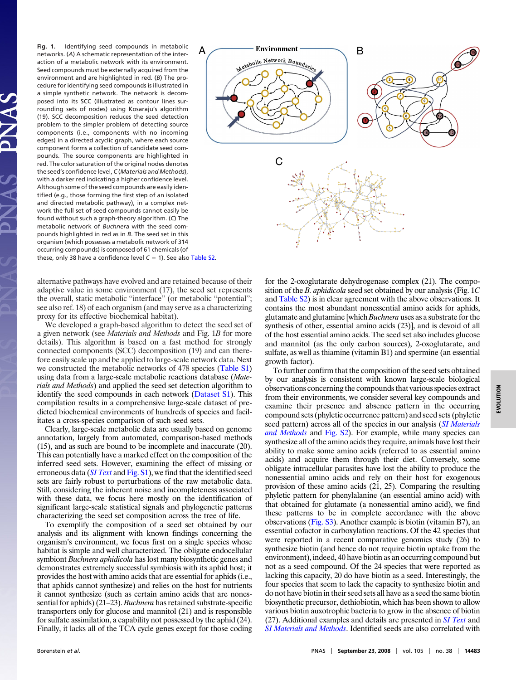action of a metabolic network with its environment. Seed compounds must be externally acquired from the environment and are highlighted in red. (*B*) The procedure for identifying seed compounds is illustrated in a simple synthetic network. The network is decomposed into its SCC (illustrated as contour lines surrounding sets of nodes) using Kosaraju's algorithm (19). SCC decomposition reduces the seed detection problem to the simpler problem of detecting source components (i.e., components with no incoming edges) in a directed acyclic graph, where each source component forms a collection of candidate seed compounds. The source components are highlighted in red. The color saturation of the original nodes denotes the seed's confidence level, *C* (*Materials and Methods*), with a darker red indicating a higher confidence level. Although some of the seed compounds are easily identified (e.g., those forming the first step of an isolated and directed metabolic pathway), in a complex network the full set of seed compounds cannot easily be found without such a graph-theory algorithm. (*C*) The metabolic network of *Buchnera* with the seed compounds highlighted in red as in *B*. The seed set in this organism (which possesses a metabolic network of 314 occurring compounds) is composed of 61 chemicals (of these, only 38 have a confidence level  $C = 1$ ). See also [Table S2.](http://www.pnas.org/cgi/data/0806162105/DCSupplemental/Supplemental_PDF#nameddest=ST2)

alternative pathways have evolved and are retained because of their adaptive value in some environment (17), the seed set represents the overall, static metabolic ''interface'' (or metabolic ''potential''; see also ref. 18) of each organism (and may serve as a characterizing proxy for its effective biochemical habitat).

We developed a graph-based algorithm to detect the seed set of a given network (see *Materials and Methods* and Fig. 1*B* for more details). This algorithm is based on a fast method for strongly connected components (SCC) decomposition (19) and can therefore easily scale up and be applied to large-scale network data. Next we constructed the metabolic networks of 478 species [\(Table S1\)](http://www.pnas.org/content/vol0/issue2008/images/data/0806162105/DCSupplemental/SD1.xls) using data from a large-scale metabolic reactions database (*Materials and Methods*) and applied the seed set detection algorithm to identify the seed compounds in each network [\(Dataset S1\)](http://www.pnas.org/content/vol0/issue2008/images/data/0806162105/DCSupplemental/SD2.xls). This compilation results in a comprehensive large-scale dataset of predicted biochemical environments of hundreds of species and facilitates a cross-species comparison of such seed sets.

Clearly, large-scale metabolic data are usually based on genome annotation, largely from automated, comparison-based methods (15), and as such are bound to be incomplete and inaccurate (20). This can potentially have a marked effect on the composition of the inferred seed sets. However, examining the effect of missing or erroneous data (*[SI Text](http://www.pnas.org/cgi/data/0806162105/DCSupplemental/Supplemental_PDF#nameddest=STXT)* and [Fig. S1\)](http://www.pnas.org/cgi/data/0806162105/DCSupplemental/Supplemental_PDF#nameddest=SF1), we find that the identified seed sets are fairly robust to perturbations of the raw metabolic data. Still, considering the inherent noise and incompleteness associated with these data, we focus here mostly on the identification of significant large-scale statistical signals and phylogenetic patterns characterizing the seed set composition across the tree of life.

To exemplify the composition of a seed set obtained by our analysis and its alignment with known findings concerning the organism's environment, we focus first on a single species whose habitat is simple and well characterized. The obligate endocellular symbiont *Buchnera aphidicola* has lost many biosynthetic genes and demonstrates extremely successful symbiosis with its aphid host; it provides the host with amino acids that are essential for aphids (i.e., that aphids cannot synthesize) and relies on the host for nutrients it cannot synthesize (such as certain amino acids that are nonessential for aphids) (21–23). *Buchnera* has retained substrate-specific transporters only for glucose and mannitol (21) and is responsible for sulfate assimilation, a capability not possessed by the aphid (24). Finally, it lacks all of the TCA cycle genes except for those coding



for the 2-oxoglutarate dehydrogenase complex (21). The composition of the *B. aphidicola* seed set obtained by our analysis (Fig. 1*C* and [Table S2\)](http://www.pnas.org/cgi/data/0806162105/DCSupplemental/Supplemental_PDF#nameddest=ST2) is in clear agreement with the above observations. It contains the most abundant nonessential amino acids for aphids, glutamate and glutamine [which*Buchnera* uses as a substrate for the synthesis of other, essential amino acids (23)], and is devoid of all of the host essential amino acids. The seed set also includes glucose and mannitol (as the only carbon sources), 2-oxoglutarate, and sulfate, as well as thiamine (vitamin B1) and spermine (an essential growth factor).

To further confirm that the composition of the seed sets obtained by our analysis is consistent with known large-scale biological observations concerning the compounds that various species extract from their environments, we consider several key compounds and examine their presence and absence pattern in the occurring compound sets (phyletic occurrence pattern) and seed sets (phyletic seed pattern) across all of the species in our analysis (*[SI Materials](http://www.pnas.org/cgi/data/0806162105/DCSupplemental/Supplemental_PDF#nameddest=STXT) [and Methods](http://www.pnas.org/cgi/data/0806162105/DCSupplemental/Supplemental_PDF#nameddest=STXT)* and [Fig. S2\)](http://www.pnas.org/cgi/data/0806162105/DCSupplemental/Supplemental_PDF#nameddest=SF2). For example, while many species can synthesize all of the amino acids they require, animals have lost their ability to make some amino acids (referred to as essential amino acids) and acquire them through their diet. Conversely, some obligate intracellular parasites have lost the ability to produce the nonessential amino acids and rely on their host for exogenous provision of these amino acids (21, 25). Comparing the resulting phyletic pattern for phenylalanine (an essential amino acid) with that obtained for glutamate (a nonessential amino acid), we find these patterns to be in complete accordance with the above observations [\(Fig. S3\)](http://www.pnas.org/cgi/data/0806162105/DCSupplemental/Supplemental_PDF#nameddest=SF3). Another example is biotin (vitamin B7), an essential cofactor in carboxylation reactions. Of the 42 species that were reported in a recent comparative genomics study (26) to synthesize biotin (and hence do not require biotin uptake from the environment), indeed, 40 have biotin as an occurring compound but not as a seed compound. Of the 24 species that were reported as lacking this capacity, 20 do have biotin as a seed. Interestingly, the four species that seem to lack the capacity to synthesize biotin and do not have biotin in their seed sets all have as a seed the same biotin biosynthetic precursor, dethiobiotin, which has been shown to allow various biotin auxotrophic bacteria to grow in the absence of biotin (27). Additional examples and details are presented in *[SI Text](http://www.pnas.org/cgi/data/0806162105/DCSupplemental/Supplemental_PDF#nameddest=STXT)* and *[SI Materials and Methods](http://www.pnas.org/cgi/data/0806162105/DCSupplemental/Supplemental_PDF#nameddest=STXT)*. Identified seeds are also correlated with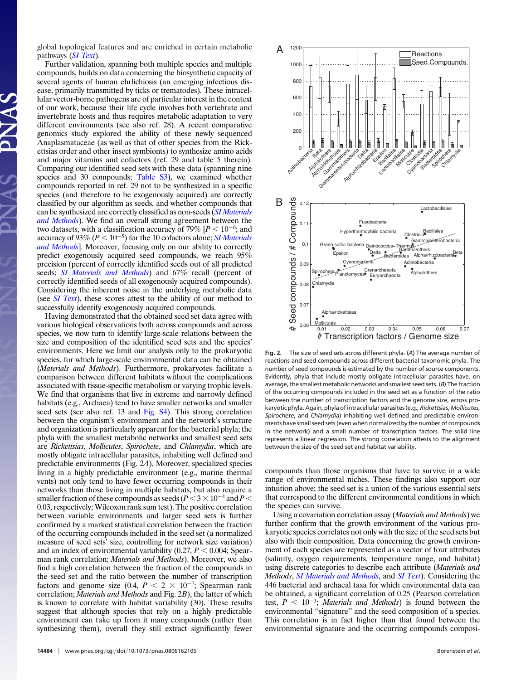global topological features and are enriched in certain metabolic pathways (*[SI Text](http://www.pnas.org/cgi/data/0806162105/DCSupplemental/Supplemental_PDF#nameddest=STXT)*).

Further validation, spanning both multiple species and multiple compounds, builds on data concerning the biosynthetic capacity of several agents of human ehrlichiosis (an emerging infectious disease, primarily transmitted by ticks or trematodes). These intracellular vector-borne pathogens are of particular interest in the context of our work, because their life cycle involves both vertebrate and invertebrate hosts and thus requires metabolic adaptation to very different environments (see also ref. 28). A recent comparative genomics study explored the ability of these newly sequenced Anaplasmataceae (as well as that of other species from the Rickettsias order and other insect symbionts) to synthesize amino acids and major vitamins and cofactors (ref. 29 and table 5 therein). Comparing our identified seed sets with these data (spanning nine species and 30 compounds; [Table S3\)](http://www.pnas.org/cgi/data/0806162105/DCSupplemental/Supplemental_PDF#nameddest=ST3), we examined whether compounds reported in ref. 29 not to be synthesized in a specific species (and therefore to be exogenously acquired) are correctly classified by our algorithm as seeds, and whether compounds that can be synthesized are correctly classified as non-seeds (*[SI Materials](http://www.pnas.org/cgi/data/0806162105/DCSupplemental/Supplemental_PDF#nameddest=STXT) [and Methods](http://www.pnas.org/cgi/data/0806162105/DCSupplemental/Supplemental_PDF#nameddest=STXT)*). We find an overall strong agreement between the two datasets, with a classification accuracy of 79%  $[P < 10^{-6}$ ; and accuracy of 93%  $(P < 10^{-5})$  for the 10 cofactors alone; *[SI Materials](http://www.pnas.org/cgi/data/0806162105/DCSupplemental/Supplemental_PDF#nameddest=STXT) [and Methods](http://www.pnas.org/cgi/data/0806162105/DCSupplemental/Supplemental_PDF#nameddest=STXT)*]. Moreover, focusing only on our ability to correctly predict exogenously acquired seed compounds, we reach 95% precision (percent of correctly identified seeds out of all predicted seeds; *[SI Materials and Methods](http://www.pnas.org/cgi/data/0806162105/DCSupplemental/Supplemental_PDF#nameddest=STXT)*) and 67% recall (percent of correctly identified seeds of all exogenously acquired compounds). Considering the inherent noise in the underlying metabolic data (see *[SI Text](http://www.pnas.org/cgi/data/0806162105/DCSupplemental/Supplemental_PDF#nameddest=STXT)*), these scores attest to the ability of our method to successfully identify exogenously acquired compounds.

Having demonstrated that the obtained seed set data agree with various biological observations both across compounds and across species, we now turn to identify large-scale relations between the size and composition of the identified seed sets and the species' environments. Here we limit our analysis only to the prokaryotic species, for which large-scale environmental data can be obtained (*Materials and Methods*). Furthermore, prokaryotes facilitate a comparison between different habitats without the complications associated with tissue-specific metabolism or varying trophic levels. We find that organisms that live in extreme and narrowly defined habitats (e.g., Archaea) tend to have smaller networks and smaller seed sets (see also ref. 13 and [Fig. S4\)](http://www.pnas.org/cgi/data/0806162105/DCSupplemental/Supplemental_PDF#nameddest=SF4). This strong correlation between the organism's environment and the network's structure and organization is particularly apparent for the bacterial phyla; the phyla with the smallest metabolic networks and smallest seed sets are *Rickettsias*, *Mollicutes*, *Spirochete*, and *Chlamydia*, which are mostly obligate intracellular parasites, inhabiting well defined and predictable environments (Fig. 2*A*). Moreover, specialized species living in a highly predictable environment (e.g., marine thermal vents) not only tend to have fewer occurring compounds in their networks than those living in multiple habitats, but also require a smaller fraction of these compounds as seeds ( $P < 3 \times 10^{-4}$  and  $P <$ 0.03, respectively; Wilcoxon rank sum test). The positive correlation between variable environments and larger seed sets is further confirmed by a marked statistical correlation between the fraction of the occurring compounds included in the seed set (a normalized measure of seed sets' size, controlling for network size variation) and an index of environmental variability  $(0.27, P < 0.004;$  Spearman rank correlation; *Materials and Methods*). Moreover, we also find a high correlation between the fraction of the compounds in the seed set and the ratio between the number of transcription factors and genome size  $(0.4, P < 2 \times 10^{-7})$ ; Spearman rank correlation; *Materials and Methods* and Fig. 2*B*), the latter of which is known to correlate with habitat variability (30). These results suggest that although species that rely on a highly predictable environment can take up from it many compounds (rather than synthesizing them), overall they still extract significantly fewer



**Fig. 2.** The size of seed sets across different phyla. (*A*) The average number of reactions and seed compounds across different bacterial taxonomic phyla. The number of seed compounds is estimated by the number of source components. Evidently, phyla that include mostly obligate intracellular parasites have, on average, the smallest metabolic networks and smallest seed sets. (*B*) The fraction of the occurring compounds included in the seed set as a function of the ratio between the number of transcription factors and the genome size, across prokaryotic phyla. Again, phyla of intracellular parasites (e.g.,*Rickettsias*,*Mollicutes*, *Spirochete*, and *Chlamydia*) inhabiting well defined and predictable environments have small seed sets (even when normalized by the number of compounds in the network) and a small number of transcription factors. The solid line represents a linear regression. The strong correlation attests to the alignment between the size of the seed set and habitat variability.

compounds than those organisms that have to survive in a wide range of environmental niches. These findings also support our intuition above; the seed set is a union of the various essential sets that correspond to the different environmental conditions in which the species can survive.

Using a covariation correlation assay (*Materials and Methods*) we further confirm that the growth environment of the various prokaryotic species correlates not only with the size of the seed sets but also with their composition. Data concerning the growth environment of each species are represented as a vector of four attributes (salinity, oxygen requirements, temperature range, and habitat) using discrete categories to describe each attribute (*Materials and Methods*, *[SI Materials and Methods](http://www.pnas.org/cgi/data/0806162105/DCSupplemental/Supplemental_PDF#nameddest=STXT)*, and *[SI Text](http://www.pnas.org/cgi/data/0806162105/DCSupplemental/Supplemental_PDF#nameddest=STXT)*). Considering the 446 bacterial and archaeal taxa for which environmental data can be obtained, a significant correlation of 0.25 (Pearson correlation test,  $P < 10^{-3}$ ; *Materials and Methods*) is found between the environmental ''signature'' and the seed composition of a species. This correlation is in fact higher than that found between the environmental signature and the occurring compounds composi-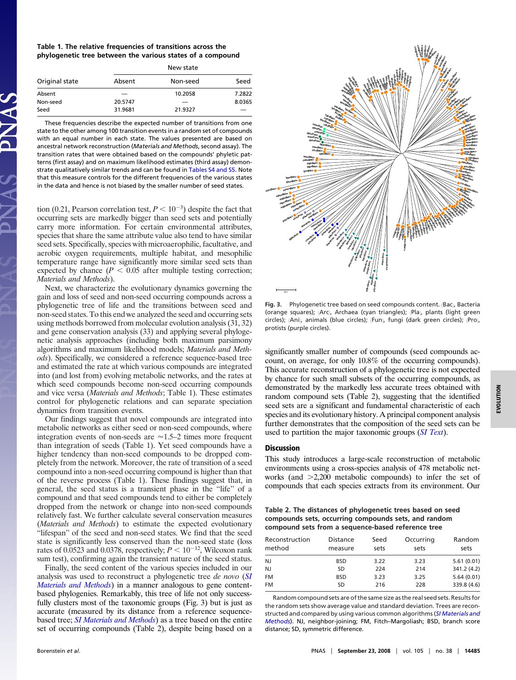## **Table 1. The relative frequencies of transitions across the phylogenetic tree between the various states of a compound**

| Original state | New state |          |        |  |
|----------------|-----------|----------|--------|--|
|                | Absent    | Non-seed | Seed   |  |
| Absent         |           | 10.2058  | 7.2822 |  |
| Non-seed       | 20.5747   |          | 8.0365 |  |
| Seed           | 31.9681   | 21.9327  |        |  |

These frequencies describe the expected number of transitions from one state to the other among 100 transition events in a random set of compounds with an equal number in each state. The values presented are based on ancestral network reconstruction (*Materials and Methods*, second assay). The transition rates that were obtained based on the compounds' phyletic patterns (first assay) and on maximum likelihood estimates (third assay) demonstrate qualitatively similar trends and can be found in [Tables S4 and S5.](http://www.pnas.org/cgi/data//DCSupplemental/Supplemental_PDF#nameddest=ST4) Note that this measure controls for the different frequencies of the various states in the data and hence is not biased by the smaller number of seed states.

tion (0.21, Pearson correlation test,  $P < 10^{-3}$ ) despite the fact that occurring sets are markedly bigger than seed sets and potentially carry more information. For certain environmental attributes, species that share the same attribute value also tend to have similar seed sets. Specifically, species with microaerophilic, facultative, and aerobic oxygen requirements, multiple habitat, and mesophilic temperature range have significantly more similar seed sets than expected by chance  $(P < 0.05$  after multiple testing correction; *Materials and Methods*).

Next, we characterize the evolutionary dynamics governing the gain and loss of seed and non-seed occurring compounds across a phylogenetic tree of life and the transitions between seed and non-seed states. To this end we analyzed the seed and occurring sets using methods borrowed from molecular evolution analysis (31, 32) and gene conservation analysis (33) and applying several phylogenetic analysis approaches (including both maximum parsimony algorithms and maximum likelihood models; *Materials and Methods*). Specifically, we considered a reference sequence-based tree and estimated the rate at which various compounds are integrated into (and lost from) evolving metabolic networks, and the rates at which seed compounds become non-seed occurring compounds and vice versa (*Materials and Methods*; Table 1). These estimates control for phylogenetic relations and can separate speciation dynamics from transition events.

Our findings suggest that novel compounds are integrated into metabolic networks as either seed or non-seed compounds, where integration events of non-seeds are  $\approx 1.5-2$  times more frequent than integration of seeds (Table 1). Yet seed compounds have a higher tendency than non-seed compounds to be dropped completely from the network. Moreover, the rate of transition of a seed compound into a non-seed occurring compound is higher than that of the reverse process (Table 1). These findings suggest that, in general, the seed status is a transient phase in the ''life'' of a compound and that seed compounds tend to either be completely dropped from the network or change into non-seed compounds relatively fast. We further calculate several conservation measures (*Materials and Methods*) to estimate the expected evolutionary ''lifespan'' of the seed and non-seed states. We find that the seed state is significantly less conserved than the non-seed state (loss rates of 0.0523 and 0.0378, respectively;  $P < 10^{-12}$ , Wilcoxon rank sum test), confirming again the transient nature of the seed status.

Finally, the seed content of the various species included in our analysis was used to reconstruct a phylogenetic tree *de novo* (*[SI](http://www.pnas.org/cgi/data/0806162105/DCSupplemental/Supplemental_PDF#nameddest=STXT) [Materials and Methods](http://www.pnas.org/cgi/data/0806162105/DCSupplemental/Supplemental_PDF#nameddest=STXT)*) in a manner analogous to gene contentbased phylogenies. Remarkably, this tree of life not only successfully clusters most of the taxonomic groups (Fig. 3) but is just as accurate (measured by its distance from a reference sequencebased tree; *[SI Materials and Methods](http://www.pnas.org/cgi/data/0806162105/DCSupplemental/Supplemental_PDF#nameddest=STXT)*) as a tree based on the entire set of occurring compounds (Table 2), despite being based on a



Fig. 3. Phylogenetic tree based on seed compounds content. (Bac), Bacteria (orange squares); (Arc), Archaea (cyan triangles); (Pla), plants (light green circles); (Ani), animals (blue circles); (Fun), fungi (dark green circles); (Pro), protists (purple circles).

significantly smaller number of compounds (seed compounds account, on average, for only 10.8% of the occurring compounds). This accurate reconstruction of a phylogenetic tree is not expected by chance for such small subsets of the occurring compounds, as demonstrated by the markedly less accurate trees obtained with random compound sets (Table 2), suggesting that the identified seed sets are a significant and fundamental characteristic of each species and its evolutionary history. A principal component analysis further demonstrates that the composition of the seed sets can be used to partition the major taxonomic groups (*[SI Text](http://www.pnas.org/cgi/data/0806162105/DCSupplemental/Supplemental_PDF#nameddest=STXT)*).

### **Discussion**

This study introduces a large-scale reconstruction of metabolic environments using a cross-species analysis of 478 metabolic networks (and  $>2,200$  metabolic compounds) to infer the set of compounds that each species extracts from its environment. Our

| Table 2. The distances of phylogenetic trees based on seed |
|------------------------------------------------------------|
| compounds sets, occurring compounds sets, and random       |
| compound sets from a sequence-based reference tree         |

| Reconstruction<br>method | <b>Distance</b><br>measure | Seed<br>sets | Occurring<br>sets | Random<br>sets |
|--------------------------|----------------------------|--------------|-------------------|----------------|
| NJ                       | <b>BSD</b>                 | 3.22         | 3.23              | 5.61(0.01)     |
| NJ                       | SD                         | 224          | 214               | 341.2 (4.2)    |
| FM                       | <b>BSD</b>                 | 3.23         | 3.25              | 5.64(0.01)     |
| FM                       | SD                         | 216          | 228               | 339.8 (4.6)    |

Random compound sets are of the same size as the real seed sets. Results for the random sets show average value and standard deviation. Trees are reconstructed and compared by using various common algorithms (*[SI Materials and](http://www.pnas.org/cgi/data//DCSupplemental/Supplemental_PDF#nameddest=STXT) [Methods](http://www.pnas.org/cgi/data//DCSupplemental/Supplemental_PDF#nameddest=STXT)*). NJ, neighbor-joining; FM, Fitch–Margoliash; BSD, branch score distance; SD, symmetric difference.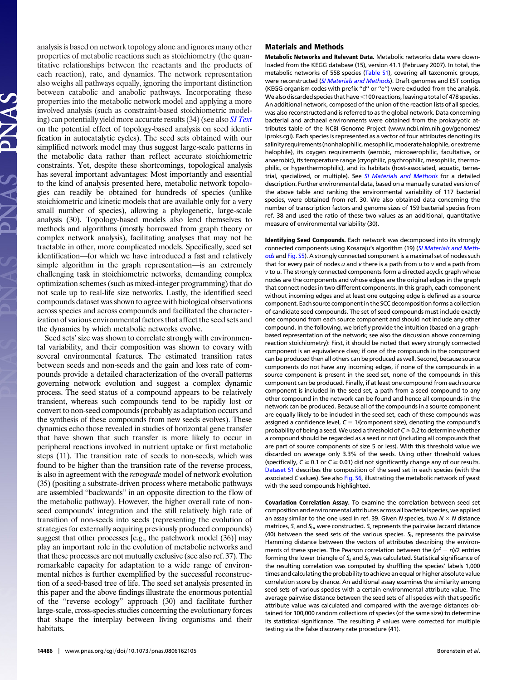analysis is based on network topology alone and ignores many other properties of metabolic reactions such as stoichiometry (the quantitative relationships between the reactants and the products of each reaction), rate, and dynamics. The network representation also weighs all pathways equally, ignoring the important distinction between catabolic and anabolic pathways. Incorporating these properties into the metabolic network model and applying a more involved analysis (such as constraint-based stoichiometric modeling) can potentially yield more accurate results (34) (see also *[SI Text](http://www.pnas.org/cgi/data/0806162105/DCSupplemental/Supplemental_PDF#nameddest=STXT)* on the potential effect of topology-based analysis on seed identification in autocatalytic cycles). The seed sets obtained with our simplified network model may thus suggest large-scale patterns in the metabolic data rather than reflect accurate stoichiometric constraints. Yet, despite these shortcomings, topological analysis has several important advantages: Most importantly and essential to the kind of analysis presented here, metabolic network topologies can readily be obtained for hundreds of species (unlike stoichiometric and kinetic models that are available only for a very small number of species), allowing a phylogenetic, large-scale analysis (30). Topology-based models also lend themselves to methods and algorithms (mostly borrowed from graph theory or complex network analysis), facilitating analyses that may not be tractable in other, more complicated models. Specifically, seed set identification—for which we have introduced a fast and relatively simple algorithm in the graph representation—is an extremely challenging task in stoichiometric networks, demanding complex optimization schemes (such as mixed-integer programming) that do not scale up to real-life size networks. Lastly, the identified seed compounds dataset was shown to agree with biological observations across species and across compounds and facilitated the characterization of various environmental factors that affect the seed sets and the dynamics by which metabolic networks evolve.

Seed sets' size was shown to correlate strongly with environmental variability, and their composition was shown to covary with several environmental features. The estimated transition rates between seeds and non-seeds and the gain and loss rate of compounds provide a detailed characterization of the overall patterns governing network evolution and suggest a complex dynamic process. The seed status of a compound appears to be relatively transient, whereas such compounds tend to be rapidly lost or convert to non-seed compounds (probably as adaptation occurs and the synthesis of these compounds from new seeds evolves). These dynamics echo those revealed in studies of horizontal gene transfer that have shown that such transfer is more likely to occur in peripheral reactions involved in nutrient uptake or first metabolic steps (11). The transition rate of seeds to non-seeds, which was found to be higher than the transition rate of the reverse process, is also in agreement with the *retrograde* model of network evolution (35) (positing a substrate-driven process where metabolic pathways are assembled ''backwards'' in an opposite direction to the flow of the metabolic pathway). However, the higher overall rate of nonseed compounds' integration and the still relatively high rate of transition of non-seeds into seeds (representing the evolution of strategies for externally acquiring previously produced compounds) suggest that other processes [e.g., the patchwork model (36)] may play an important role in the evolution of metabolic networks and that these processes are not mutually exclusive (see also ref. 37). The remarkable capacity for adaptation to a wide range of environmental niches is further exemplified by the successful reconstruction of a seed-based tree of life. The seed set analysis presented in this paper and the above findings illustrate the enormous potential of the ''reverse ecology'' approach (30) and facilitate further large-scale, cross-species studies concerning the evolutionary forces that shape the interplay between living organisms and their habitats.

**Metabolic Networks and Relevant Data.** Metabolic networks data were downloaded from the KEGG database (15), version 41.1 (February 2007). In total, the metabolic networks of 558 species [\(Table S1\)](http://www.pnas.org/content/vol0/issue2008/images/data/0806162105/DCSupplemental/SD1.xls), covering all taxonomic groups, were reconstructed (*[SI Materials and Methods](http://www.pnas.org/cgi/data/0806162105/DCSupplemental/Supplemental_PDF#nameddest=STXT)*). Draft genomes and EST contigs (KEGG organism codes with prefix ''d'' or ''e'') were excluded from the analysis. We also discarded species that have  $<$  100 reactions, leaving a total of 478 species. An additional network, composed of the union of the reaction lists of all species, was also reconstructed and is referred to as the global network. Data concerning bacterial and archaeal environments were obtained from the prokaryotic attributes table of the NCBI Genome Project (www.ncbi.nlm.nih.gov/genomes/ lproks.cgi). Each species is represented as a vector of four attributes denoting its salinity requirements (nonhalophilic, mesophilic, moderate halophile, or extreme halophile), its oxygen requirements (aerobic, microaerophilic, facultative, or anaerobic), its temperature range (cryophilic, psychrophilic, mesophilic, thermophilic, or hyperthermophilic), and its habitats (host-associated, aquatic, terrestrial, specialized, or multiple). See *[SI Materials and Methods](http://www.pnas.org/cgi/data/0806162105/DCSupplemental/Supplemental_PDF#nameddest=STXT)* for a detailed description. Further environmental data, based on a manually curated version of the above table and ranking the environmental variability of 117 bacterial species, were obtained from ref. 30. We also obtained data concerning the number of transcription factors and genome sizes of 159 bacterial species from ref. 38 and used the ratio of these two values as an additional, quantitative measure of environmental variability (30).

**Identifying Seed Compounds.** Each network was decomposed into its strongly connected components using Kosaraju's algorithm (19) (*[SI Materials and Meth](http://www.pnas.org/cgi/data/0806162105/DCSupplemental/Supplemental_PDF#nameddest=STXT)[ods](http://www.pnas.org/cgi/data/0806162105/DCSupplemental/Supplemental_PDF#nameddest=STXT)* and [Fig. S5\)](http://www.pnas.org/cgi/data/0806162105/DCSupplemental/Supplemental_PDF#nameddest=SF5). A strongly connected component is a maximal set of nodes such that for every pair of nodes *u* and *v* there is a path from *u* to *v* and a path from *v* to *u*. The strongly connected components form a directed acyclic graph whose nodes are the components and whose edges are the original edges in the graph that connect nodes in two different components. In this graph, each component without incoming edges and at least one outgoing edge is defined as a source component. Each source component in the SCC decomposition forms a collection of candidate seed compounds. The set of seed compounds must include exactly one compound from each source component and should not include any other compound. In the following, we briefly provide the intuition (based on a graphbased representation of the network; see also the discussion above concerning reaction stoichiometry): First, it should be noted that every strongly connected component is an equivalence class; if one of the compounds in the component can be produced then all others can be produced as well. Second, because source components do not have any incoming edges, if none of the compounds in a source component is present in the seed set, none of the compounds in this component can be produced. Finally, if at least one compound from each source component is included in the seed set, a path from a seed compound to any other compound in the network can be found and hence all compounds in the network can be produced. Because all of the compounds in a source component are equally likely to be included in the seed set, each of these compounds was assigned a confidence level,  $C = 1/$ (component size), denoting the compound's probability of being a seed. We used a threshold of  $C \geq 0.2$  to determine whether a compound should be regarded as a seed or not (including all compounds that are part of source components of size 5 or less). With this threshold value we discarded on average only 3.3% of the seeds. Using other threshold values (specifically,  $C \ge 0.1$  or  $C \ge 0.01$ ) did not significantly change any of our results. [Dataset S1](http://www.pnas.org/content/vol0/issue2008/images/data/0806162105/DCSupplemental/SD2.xls) describes the composition of the seed set in each species (with the associated *C* values). See also [Fig. S6,](http://www.pnas.org/cgi/data/0806162105/DCSupplemental/Supplemental_PDF#nameddest=SF6) illustrating the metabolic network of yeast with the seed compounds highlighted.

**Covariation Correlation Assay.** To examine the correlation between seed set composition and environmental attributes across all bacterial species, we applied an assay similar to the one used in ref. 39. Given *N* species, two *N*  $\times$  *N* distance matrices, *S*<sup>s</sup> and *S*h, were constructed. *S*<sup>s</sup> represents the pairwise Jaccard distance (40) between the seed sets of the various species. *S*<sup>h</sup> represents the pairwise Hamming distance between the vectors of attributes describing the environments of these species. The Pearson correlation between the  $(n^2 - n)/2$  entries forming the lower triangle of *S*<sup>s</sup> and *S*<sup>h</sup> was calculated. Statistical significance of the resulting correlation was computed by shuffling the species' labels 1,000 times and calculating the probability to achieve an equal or higher absolute value correlation score by chance. An additional assay examines the similarity among seed sets of various species with a certain environmental attribute value. The average pairwise distance between the seed sets of all species with that specific attribute value was calculated and compared with the average distances obtained for 100,000 random collections of species (of the same size) to determine its statistical significance. The resulting *P* values were corrected for multiple testing via the false discovery rate procedure (41).